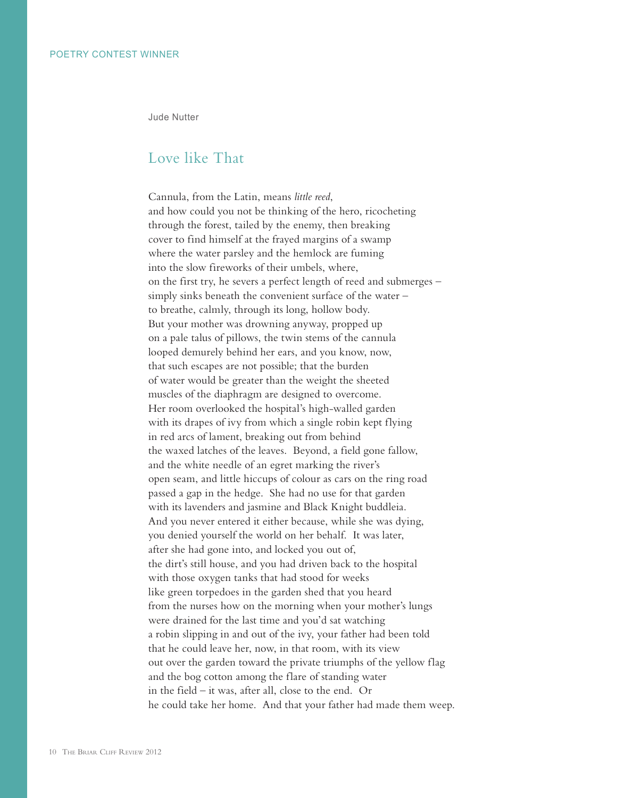Jude Nutter

## Love like That

Cannula, from the Latin, means *little reed*, and how could you not be thinking of the hero, ricocheting through the forest, tailed by the enemy, then breaking cover to find himself at the frayed margins of a swamp where the water parsley and the hemlock are fuming into the slow fireworks of their umbels, where, on the first try, he severs a perfect length of reed and submerges – simply sinks beneath the convenient surface of the water – to breathe, calmly, through its long, hollow body. But your mother was drowning anyway, propped up on a pale talus of pillows, the twin stems of the cannula looped demurely behind her ears, and you know, now, that such escapes are not possible; that the burden of water would be greater than the weight the sheeted muscles of the diaphragm are designed to overcome. Her room overlooked the hospital's high-walled garden with its drapes of ivy from which a single robin kept flying in red arcs of lament, breaking out from behind the waxed latches of the leaves. Beyond, a field gone fallow, and the white needle of an egret marking the river's open seam, and little hiccups of colour as cars on the ring road passed a gap in the hedge. She had no use for that garden with its lavenders and jasmine and Black Knight buddleia. And you never entered it either because, while she was dying, you denied yourself the world on her behalf. It was later, after she had gone into, and locked you out of, the dirt's still house, and you had driven back to the hospital with those oxygen tanks that had stood for weeks like green torpedoes in the garden shed that you heard from the nurses how on the morning when your mother's lungs were drained for the last time and you'd sat watching a robin slipping in and out of the ivy, your father had been told that he could leave her, now, in that room, with its view out over the garden toward the private triumphs of the yellow flag and the bog cotton among the flare of standing water in the field – it was, after all, close to the end. Or he could take her home. And that your father had made them weep.